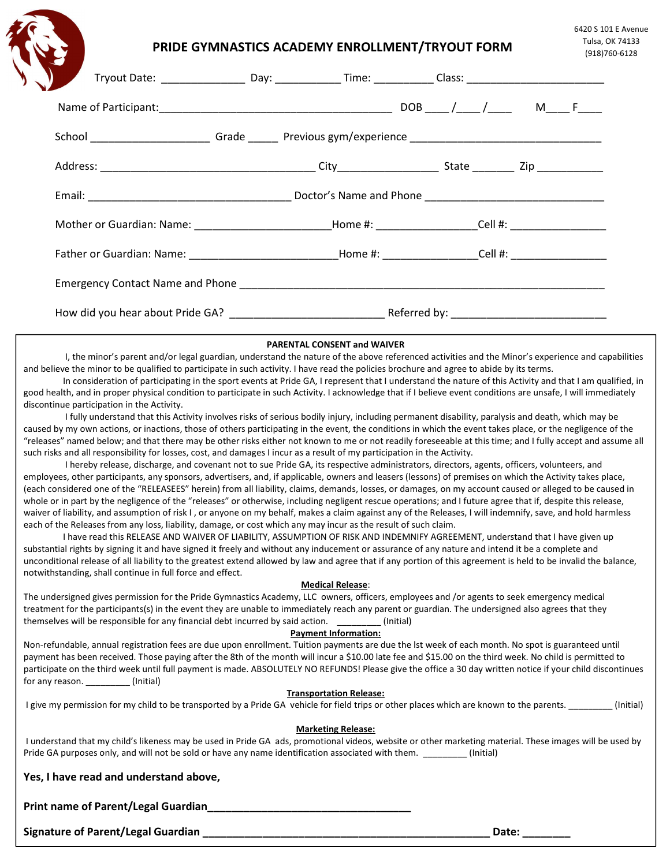# PRIDE GYMNASTICS ACADEMY ENROLLMENT/TRYOUT FORM

| J<br>Tryout Date: ___________________Day: _______________Time: _____________Class: ________________________________                                                                                                                 |  |  |  |  |
|-------------------------------------------------------------------------------------------------------------------------------------------------------------------------------------------------------------------------------------|--|--|--|--|
|                                                                                                                                                                                                                                     |  |  |  |  |
|                                                                                                                                                                                                                                     |  |  |  |  |
|                                                                                                                                                                                                                                     |  |  |  |  |
|                                                                                                                                                                                                                                     |  |  |  |  |
| Mother or Guardian: Name: _____________________________Home #: ___________________Cell #: ____________________                                                                                                                      |  |  |  |  |
|                                                                                                                                                                                                                                     |  |  |  |  |
| Emergency Contact Name and Phone <b>Contact 10</b> and the contract of the contract of the contract of the contract of the contract of the contract of the contract of the contract of the contract of the contract of the contract |  |  |  |  |
|                                                                                                                                                                                                                                     |  |  |  |  |

## PARENTAL CONSENT and WAIVER

 I, the minor's parent and/or legal guardian, understand the nature of the above referenced activities and the Minor's experience and capabilities and believe the minor to be qualified to participate in such activity. I have read the policies brochure and agree to abide by its terms.

In consideration of participating in the sport events at Pride GA, I represent that I understand the nature of this Activity and that I am qualified, in good health, and in proper physical condition to participate in such Activity. I acknowledge that if I believe event conditions are unsafe, I will immediately discontinue participation in the Activity.

 I fully understand that this Activity involves risks of serious bodily injury, including permanent disability, paralysis and death, which may be caused by my own actions, or inactions, those of others participating in the event, the conditions in which the event takes place, or the negligence of the "releases" named below; and that there may be other risks either not known to me or not readily foreseeable at this time; and I fully accept and assume all such risks and all responsibility for losses, cost, and damages I incur as a result of my participation in the Activity.

 I hereby release, discharge, and covenant not to sue Pride GA, its respective administrators, directors, agents, officers, volunteers, and employees, other participants, any sponsors, advertisers, and, if applicable, owners and leasers (lessons) of premises on which the Activity takes place, (each considered one of the "RELEASEES" herein) from all liability, claims, demands, losses, or damages, on my account caused or alleged to be caused in whole or in part by the negligence of the "releases" or otherwise, including negligent rescue operations; and I future agree that if, despite this release, waiver of liability, and assumption of risk I, or anyone on my behalf, makes a claim against any of the Releases, I will indemnify, save, and hold harmless each of the Releases from any loss, liability, damage, or cost which any may incur as the result of such claim.

I have read this RELEASE AND WAIVER OF LIABILITY, ASSUMPTION OF RISK AND INDEMNIFY AGREEMENT, understand that I have given up substantial rights by signing it and have signed it freely and without any inducement or assurance of any nature and intend it be a complete and unconditional release of all liability to the greatest extend allowed by law and agree that if any portion of this agreement is held to be invalid the balance, notwithstanding, shall continue in full force and effect.

## Medical Release:

The undersigned gives permission for the Pride Gymnastics Academy, LLC owners, officers, employees and /or agents to seek emergency medical treatment for the participants(s) in the event they are unable to immediately reach any parent or guardian. The undersigned also agrees that they themselves will be responsible for any financial debt incurred by said action. \_\_\_\_\_\_\_\_\_ (Initial)

## Payment Information:

Non-refundable, annual registration fees are due upon enrollment. Tuition payments are due the lst week of each month. No spot is guaranteed until payment has been received. Those paying after the 8th of the month will incur a \$10.00 late fee and \$15.00 on the third week. No child is permitted to participate on the third week until full payment is made. ABSOLUTELY NO REFUNDS! Please give the office a 30 day written notice if your child discontinues for any reason. (Initial)

## Transportation Release:

I give my permission for my child to be transported by a Pride GA vehicle for field trips or other places which are known to the parents. \_\_\_\_\_\_\_\_\_\_\_ (Initial)

## Marketing Release:

 I understand that my child's likeness may be used in Pride GA ads, promotional videos, website or other marketing material. These images will be used by Pride GA purposes only, and will not be sold or have any name identification associated with them. \_\_\_\_\_\_\_\_\_ (Initial)

|  |  |  |  | Yes, I have read and understand above, |  |
|--|--|--|--|----------------------------------------|--|
|--|--|--|--|----------------------------------------|--|

Print name of Parent/Legal Guardian\_\_\_\_\_\_\_\_\_\_\_\_\_\_\_\_\_\_\_\_\_\_\_\_\_\_\_\_\_\_\_\_\_\_

Signature of Parent/Legal Guardian \_\_\_\_\_\_\_\_\_\_\_\_\_\_\_\_\_\_\_\_\_\_\_\_\_\_\_\_\_\_\_\_\_\_\_\_\_\_\_\_\_\_\_\_\_\_\_\_ Date: \_\_\_\_\_\_\_\_